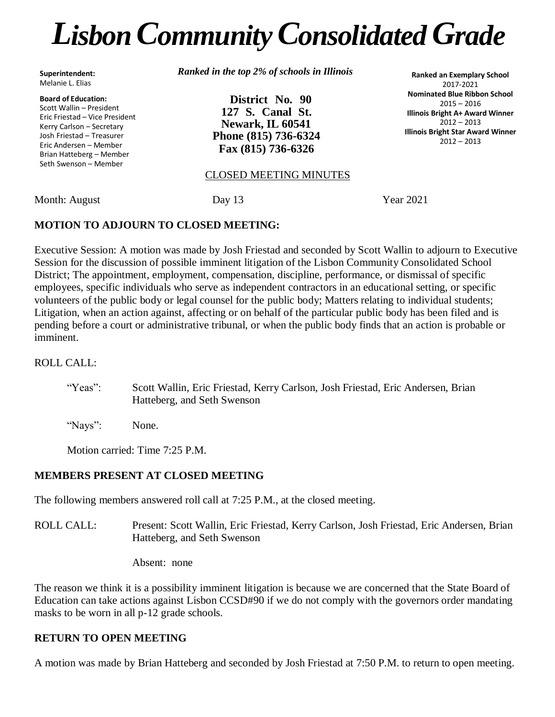# *LisbonCommunityConsolidated Grade*

**Superintendent:** Melanie L. Elias

#### **Board of Education:**

Scott Wallin – President Eric Friestad – Vice President Kerry Carlson – Secretary Josh Friestad – Treasurer Eric Andersen – Member Brian Hatteberg – Member Seth Swenson – Member

*Ranked in the top 2% of schools in Illinois*

**District No. 90 127 S. Canal St. Newark, IL 60541 Phone (815) 736-6324 Fax (815) 736-6326**

**Ranked an Exemplary School** 2017-2021 **Nominated Blue Ribbon School** 2015 – 2016 **Illinois Bright A+ Award Winner**  $2012 - 2013$ **Illinois Bright Star Award Winner** 2012 – 2013

#### CLOSED MEETING MINUTES

Month: August Day 13 Year 2021

#### **MOTION TO ADJOURN TO CLOSED MEETING:**

Executive Session: A motion was made by Josh Friestad and seconded by Scott Wallin to adjourn to Executive Session for the discussion of possible imminent litigation of the Lisbon Community Consolidated School District; The appointment, employment, compensation, discipline, performance, or dismissal of specific employees, specific individuals who serve as independent contractors in an educational setting, or specific volunteers of the public body or legal counsel for the public body; Matters relating to individual students; Litigation, when an action against, affecting or on behalf of the particular public body has been filed and is pending before a court or administrative tribunal, or when the public body finds that an action is probable or imminent.

#### ROLL CALL:

- "Yeas": Scott Wallin, Eric Friestad, Kerry Carlson, Josh Friestad, Eric Andersen, Brian Hatteberg, and Seth Swenson
- "Nays": None.

Motion carried: Time 7:25 P.M.

### **MEMBERS PRESENT AT CLOSED MEETING**

The following members answered roll call at 7:25 P.M., at the closed meeting.

- ROLL CALL: Present: Scott Wallin, Eric Friestad, Kerry Carlson, Josh Friestad, Eric Andersen, Brian Hatteberg, and Seth Swenson
	- Absent: none

The reason we think it is a possibility imminent litigation is because we are concerned that the State Board of Education can take actions against Lisbon CCSD#90 if we do not comply with the governors order mandating masks to be worn in all p-12 grade schools.

#### **RETURN TO OPEN MEETING**

A motion was made by Brian Hatteberg and seconded by Josh Friestad at 7:50 P.M. to return to open meeting.